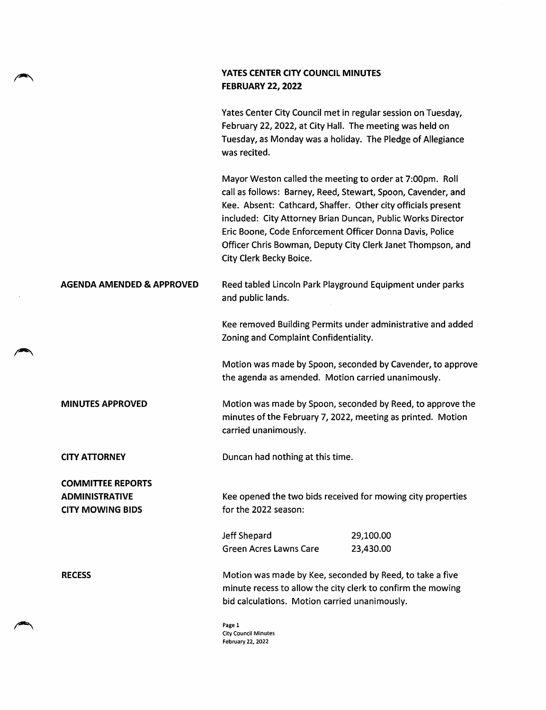## YATES CENTER CITY COUNCIL MINUTES **FEBRUARY 22, 2022**

Yates Center City Council met in regular session on Tuesday, February 22, 2022, at City Hall. The meeting was held on Tuesday, as Monday was a holiday. The Pledge of Allegiance was recited.

Mayor Weston called the meeting to order at 7:00pm. Roll call as follows: Barney, Reed, Stewart, Spoon, Cavender, and Kee. Absent: Cathcard, Shaffer. Other city officials present included: City Attorney Brian Duncan, Public Works Director Eric Boone, Code Enforcement Officer Donna Davis, Police Officer Chris Bowman, Deputy City Clerk Janet Thompson, and City Clerk Becky Boice.

## AGENDA AMENDED & APPROVED Reed tabled Lincoln Park Playground Equipment under parks and public lands.

Kee removed Building Permits under administrative and added Zoning and Complaint Confidentiality.

Motion was made by Spoon, seconded by Cavender, to approve the agenda as amended. Motion carried unanimously.

MINUTES APPROVED Motion was made by Spoon, seconded by Reed, to approve the minutes of the February 7, 2022, meeting as printed. Motion carried unanimously.

CITY ATTORNEY Duncan had nothing at this time.

COMMITTEE REPORTS ADMINISTRATIVE CITY MOWING BIDS

Kee opened the two bids received for mowing city properties for the 2022 season:

Jeff Shepard 29,100.00 Green Acres Lawns Care 23,430.00

RECESS **Motion was made by Kee, seconded by Reed**, to take a five minute recess to allow the city clerk to confirm the mowing bid calculations. Motion carried unanimously.

> Page 1 City Council Minutes February 22, 2022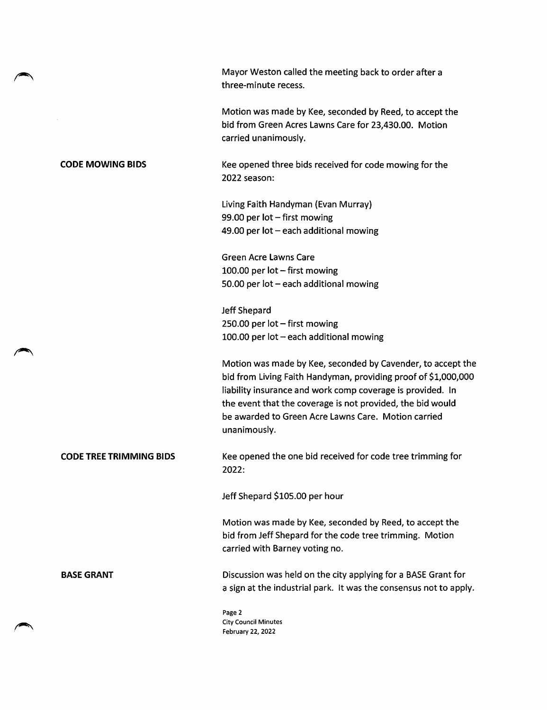|                         | Mayor Weston called the meeting back to order after a<br>three-minute recess.                                                                                                                                                                                                                                                    |
|-------------------------|----------------------------------------------------------------------------------------------------------------------------------------------------------------------------------------------------------------------------------------------------------------------------------------------------------------------------------|
|                         | Motion was made by Kee, seconded by Reed, to accept the<br>bid from Green Acres Lawns Care for 23,430.00. Motion<br>carried unanimously.                                                                                                                                                                                         |
| <b>CODE MOWING BIDS</b> | Kee opened three bids received for code mowing for the<br>2022 season:                                                                                                                                                                                                                                                           |
|                         | Living Faith Handyman (Evan Murray)<br>99.00 per lot - first mowing<br>49.00 per lot - each additional mowing                                                                                                                                                                                                                    |
|                         |                                                                                                                                                                                                                                                                                                                                  |
|                         | <b>Green Acre Lawns Care</b>                                                                                                                                                                                                                                                                                                     |
|                         | 100.00 per lot - first mowing                                                                                                                                                                                                                                                                                                    |
|                         | 50.00 per $lot$ – each additional mowing                                                                                                                                                                                                                                                                                         |
|                         | Jeff Shepard                                                                                                                                                                                                                                                                                                                     |
|                         | 250.00 per lot $-$ first mowing                                                                                                                                                                                                                                                                                                  |
|                         | 100.00 per lot - each additional mowing                                                                                                                                                                                                                                                                                          |
|                         | Motion was made by Kee, seconded by Cavender, to accept the<br>bid from Living Faith Handyman, providing proof of \$1,000,000<br>liability insurance and work comp coverage is provided. In<br>the event that the coverage is not provided, the bid would<br>be awarded to Green Acre Lawns Care. Motion carried<br>unanimously. |
| CODE TREE TRIMMING BIDS | Kee opened the one bid received for code tree trimming for<br>2022:                                                                                                                                                                                                                                                              |
|                         | Jeff Shepard \$105.00 per hour                                                                                                                                                                                                                                                                                                   |
|                         | Motion was made by Kee, seconded by Reed, to accept the<br>bid from Jeff Shepard for the code tree trimming. Motion<br>carried with Barney voting no.                                                                                                                                                                            |
| <b>BASE GRANT</b>       | Discussion was held on the city applying for a BASE Grant for<br>a sign at the industrial park. It was the consensus not to apply.                                                                                                                                                                                               |
|                         | Page 2<br><b>City Council Minutes</b>                                                                                                                                                                                                                                                                                            |

February 22, 2022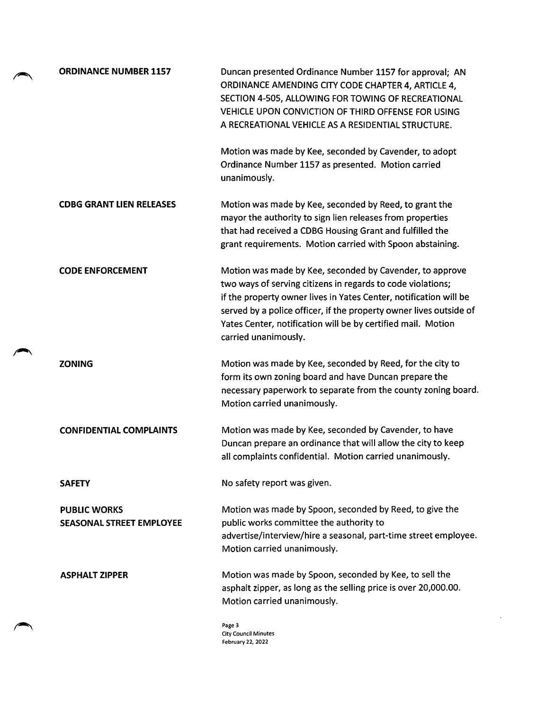| <b>ORDINANCE NUMBER 1157</b>                           | Duncan presented Ordinance Number 1157 for approval; AN<br>ORDINANCE AMENDING CITY CODE CHAPTER 4, ARTICLE 4,<br>SECTION 4-505, ALLOWING FOR TOWING OF RECREATIONAL<br>VEHICLE UPON CONVICTION OF THIRD OFFENSE FOR USING<br>A RECREATIONAL VEHICLE AS A RESIDENTIAL STRUCTURE.                                                                            |
|--------------------------------------------------------|------------------------------------------------------------------------------------------------------------------------------------------------------------------------------------------------------------------------------------------------------------------------------------------------------------------------------------------------------------|
|                                                        | Motion was made by Kee, seconded by Cavender, to adopt<br>Ordinance Number 1157 as presented. Motion carried<br>unanimously.                                                                                                                                                                                                                               |
| <b>CDBG GRANT LIEN RELEASES</b>                        | Motion was made by Kee, seconded by Reed, to grant the<br>mayor the authority to sign lien releases from properties<br>that had received a CDBG Housing Grant and fulfilled the<br>grant requirements. Motion carried with Spoon abstaining.                                                                                                               |
| <b>CODE ENFORCEMENT</b>                                | Motion was made by Kee, seconded by Cavender, to approve<br>two ways of serving citizens in regards to code violations;<br>if the property owner lives in Yates Center, notification will be<br>served by a police officer, if the property owner lives outside of<br>Yates Center, notification will be by certified mail. Motion<br>carried unanimously. |
| <b>ZONING</b>                                          | Motion was made by Kee, seconded by Reed, for the city to<br>form its own zoning board and have Duncan prepare the<br>necessary paperwork to separate from the county zoning board.<br>Motion carried unanimously.                                                                                                                                         |
| <b>CONFIDENTIAL COMPLAINTS</b>                         | Motion was made by Kee, seconded by Cavender, to have<br>Duncan prepare an ordinance that will allow the city to keep<br>all complaints confidential. Motion carried unanimously.                                                                                                                                                                          |
| SAFETY                                                 | No safety report was given.                                                                                                                                                                                                                                                                                                                                |
| <b>PUBLIC WORKS</b><br><b>SEASONAL STREET EMPLOYEE</b> | Motion was made by Spoon, seconded by Reed, to give the<br>public works committee the authority to<br>advertise/interview/hire a seasonal, part-time street employee.<br>Motion carried unanimously.                                                                                                                                                       |
| <b>ASPHALT ZIPPER</b>                                  | Motion was made by Spoon, seconded by Kee, to sell the<br>asphalt zipper, as long as the selling price is over 20,000.00.<br>Motion carried unanimously.                                                                                                                                                                                                   |
|                                                        | Page 3                                                                                                                                                                                                                                                                                                                                                     |

City Council Minutes February 22, 2022

 $\sim$   $\sim$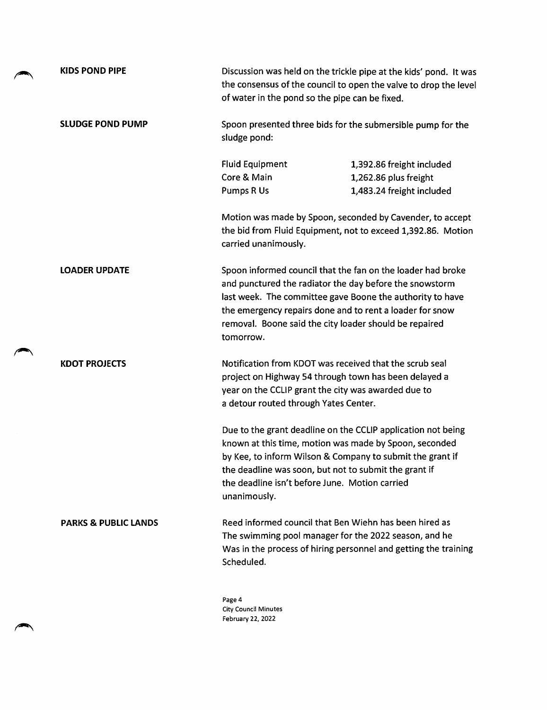| <b>KIDS POND PIPE</b>           | Discussion was held on the trickle pipe at the kids' pond. It was<br>the consensus of the council to open the valve to drop the level<br>of water in the pond so the pipe can be fixed.                                                                                                                                |
|---------------------------------|------------------------------------------------------------------------------------------------------------------------------------------------------------------------------------------------------------------------------------------------------------------------------------------------------------------------|
| <b>SLUDGE POND PUMP</b>         | Spoon presented three bids for the submersible pump for the<br>sludge pond:                                                                                                                                                                                                                                            |
|                                 | <b>Fluid Equipment</b><br>1,392.86 freight included<br>Core & Main<br>1,262.86 plus freight<br>Pumps R Us<br>1,483.24 freight included                                                                                                                                                                                 |
|                                 | Motion was made by Spoon, seconded by Cavender, to accept<br>the bid from Fluid Equipment, not to exceed 1,392.86. Motion<br>carried unanimously.                                                                                                                                                                      |
| <b>LOADER UPDATE</b>            | Spoon informed council that the fan on the loader had broke<br>and punctured the radiator the day before the snowstorm<br>last week. The committee gave Boone the authority to have<br>the emergency repairs done and to rent a loader for snow<br>removal. Boone said the city loader should be repaired<br>tomorrow. |
| <b>KDOT PROJECTS</b>            | Notification from KDOT was received that the scrub seal<br>project on Highway 54 through town has been delayed a<br>year on the CCLIP grant the city was awarded due to<br>a detour routed through Yates Center.                                                                                                       |
|                                 | Due to the grant deadline on the CCLIP application not being<br>known at this time, motion was made by Spoon, seconded<br>by Kee, to inform Wilson & Company to submit the grant if<br>the deadline was soon, but not to submit the grant if<br>the deadline isn't before June. Motion carried<br>unanimously.         |
| <b>PARKS &amp; PUBLIC LANDS</b> | Reed informed council that Ben Wiehn has been hired as<br>The swimming pool manager for the 2022 season, and he<br>Was in the process of hiring personnel and getting the training<br>Scheduled.                                                                                                                       |
|                                 | Page 4<br>City Caunail Minutee                                                                                                                                                                                                                                                                                         |

City Council Minutes February 22, 2022